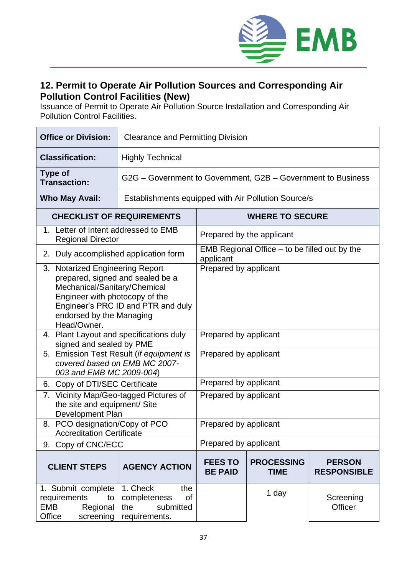

## **12. Permit to Operate Air Pollution Sources and Corresponding Air Pollution Control Facilities (New)**

Issuance of Permit to Operate Air Pollution Source Installation and Corresponding Air Pollution Control Facilities.

| <b>Office or Division:</b>                                                                                                                                                                                             | <b>Clearance and Permitting Division</b>                                   |                                                              |                                  |                                     |  |
|------------------------------------------------------------------------------------------------------------------------------------------------------------------------------------------------------------------------|----------------------------------------------------------------------------|--------------------------------------------------------------|----------------------------------|-------------------------------------|--|
| <b>Classification:</b>                                                                                                                                                                                                 | <b>Highly Technical</b>                                                    |                                                              |                                  |                                     |  |
| <b>Type of</b><br><b>Transaction:</b>                                                                                                                                                                                  |                                                                            | G2G – Government to Government, G2B – Government to Business |                                  |                                     |  |
| <b>Who May Avail:</b>                                                                                                                                                                                                  | Establishments equipped with Air Pollution Source/s                        |                                                              |                                  |                                     |  |
| <b>CHECKLIST OF REQUIREMENTS</b>                                                                                                                                                                                       |                                                                            | <b>WHERE TO SECURE</b>                                       |                                  |                                     |  |
| 1. Letter of Intent addressed to EMB<br><b>Regional Director</b>                                                                                                                                                       |                                                                            | Prepared by the applicant                                    |                                  |                                     |  |
| Duly accomplished application form<br>2.                                                                                                                                                                               |                                                                            | EMB Regional Office $-$ to be filled out by the<br>applicant |                                  |                                     |  |
| 3. Notarized Engineering Report<br>prepared, signed and sealed be a<br>Mechanical/Sanitary/Chemical<br>Engineer with photocopy of the<br>Engineer's PRC ID and PTR and duly<br>endorsed by the Managing<br>Head/Owner. |                                                                            | Prepared by applicant                                        |                                  |                                     |  |
| 4. Plant Layout and specifications duly<br>signed and sealed by PME                                                                                                                                                    |                                                                            | Prepared by applicant                                        |                                  |                                     |  |
| Emission Test Result (if equipment is<br>5.<br>covered based on EMB MC 2007-<br>003 and EMB MC 2009-004)                                                                                                               |                                                                            | Prepared by applicant                                        |                                  |                                     |  |
| 6. Copy of DTI/SEC Certificate                                                                                                                                                                                         |                                                                            | Prepared by applicant                                        |                                  |                                     |  |
| 7. Vicinity Map/Geo-tagged Pictures of<br>the site and equipment/ Site<br><b>Development Plan</b>                                                                                                                      |                                                                            | Prepared by applicant                                        |                                  |                                     |  |
| 8. PCO designation/Copy of PCO<br><b>Accreditation Certificate</b>                                                                                                                                                     |                                                                            | Prepared by applicant                                        |                                  |                                     |  |
| 9. Copy of CNC/ECC                                                                                                                                                                                                     |                                                                            | Prepared by applicant                                        |                                  |                                     |  |
| <b>CLIENT STEPS</b>                                                                                                                                                                                                    | <b>AGENCY ACTION</b>                                                       | <b>FEES TO</b><br><b>BE PAID</b>                             | <b>PROCESSING</b><br><b>TIME</b> | <b>PERSON</b><br><b>RESPONSIBLE</b> |  |
| 1. Submit complete<br>requirements<br>to<br>EMB<br>Regional<br>Office<br>screening                                                                                                                                     | 1. Check<br>the<br>completeness<br>of<br>the<br>submitted<br>requirements. |                                                              | 1 day                            | Screening<br>Officer                |  |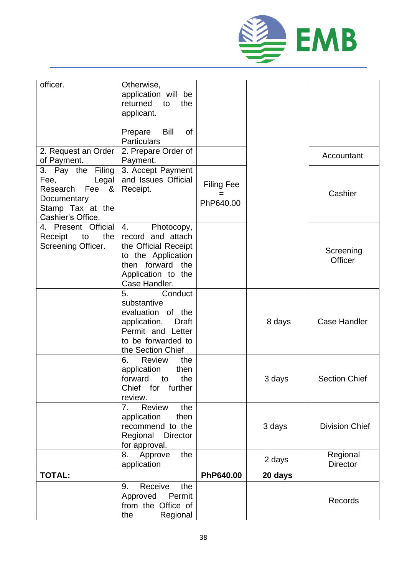

| officer.                                                                                                                | Otherwise,<br>application will be<br>returned<br>to<br>the<br>applicant.<br>Bill<br>Prepare<br>0f<br><b>Particulars</b>                           |                                       |         |                             |
|-------------------------------------------------------------------------------------------------------------------------|---------------------------------------------------------------------------------------------------------------------------------------------------|---------------------------------------|---------|-----------------------------|
| 2. Request an Order<br>of Payment.                                                                                      | 2. Prepare Order of<br>Payment.                                                                                                                   |                                       |         | Accountant                  |
| Filing<br>3. Pay the<br>Fee,<br>Legal<br>Research<br>Fee<br>- &<br>Documentary<br>Stamp Tax at the<br>Cashier's Office. | 3. Accept Payment<br>and Issues Official<br>Receipt.                                                                                              | <b>Filing Fee</b><br>$=$<br>PhP640.00 |         | Cashier                     |
| 4. Present Official<br>the<br>Receipt<br>to<br>Screening Officer.                                                       | 4.<br>Photocopy,<br>record and attach<br>the Official Receipt<br>to the Application<br>then forward<br>the<br>Application to the<br>Case Handler. |                                       |         | Screening<br>Officer        |
|                                                                                                                         | 5.<br>Conduct<br>substantive<br>evaluation of the<br>application.<br>Draft<br>Permit and Letter<br>to be forwarded to<br>the Section Chief        |                                       | 8 days  | <b>Case Handler</b>         |
|                                                                                                                         | 6.<br><b>Review</b><br>the<br>application<br>then<br>forward<br>the<br>to<br>Chief<br>further<br>for<br>review.                                   |                                       | 3 days  | <b>Section Chief</b>        |
|                                                                                                                         | 7.<br><b>Review</b><br>the<br>application<br>then<br>recommend to the<br>Regional<br><b>Director</b><br>for approval.                             |                                       | 3 days  | <b>Division Chief</b>       |
|                                                                                                                         | Approve<br>the<br>8.<br>application                                                                                                               |                                       | 2 days  | Regional<br><b>Director</b> |
| <b>TOTAL:</b>                                                                                                           |                                                                                                                                                   | PhP640.00                             | 20 days |                             |
|                                                                                                                         | the<br>Receive<br>9.<br>Approved<br>Permit<br>from the Office of<br>the<br>Regional                                                               |                                       |         | Records                     |